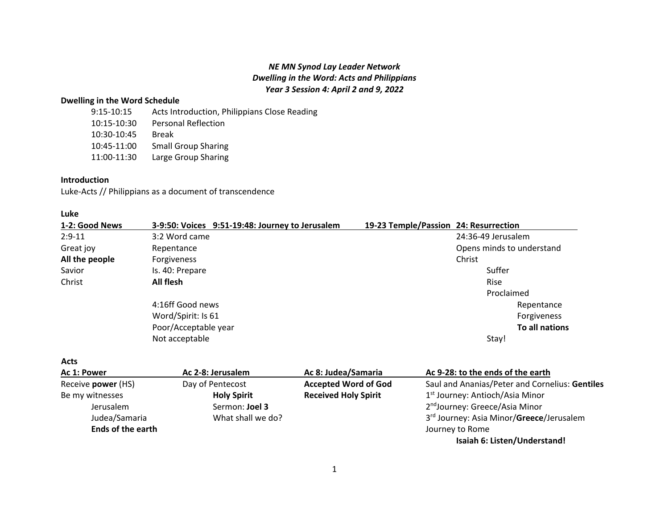# *NE MN Synod Lay Leader Network Dwelling in the Word: Acts and Philippians Year 3 Session 4: April 2 and 9, 2022*

# **Dwelling in the Word Schedule**

| Acts Introduction, Philippians Close Reading |
|----------------------------------------------|
| <b>Personal Reflection</b>                   |
| <b>Break</b>                                 |
| <b>Small Group Sharing</b>                   |
| Large Group Sharing                          |
|                                              |

# **Introduction**

Luke-Acts // Philippians as a document of transcendence

| Luke           |                                                 |                                       |
|----------------|-------------------------------------------------|---------------------------------------|
| 1-2: Good News | 3-9:50: Voices 9:51-19:48: Journey to Jerusalem | 19-23 Temple/Passion 24: Resurrection |
| $2:9-11$       | 3:2 Word came                                   | 24:36-49 Jerusalem                    |
| Great joy      | Repentance                                      | Opens minds to understand             |
| All the people | Forgiveness                                     | Christ                                |
| Savior         | Is. 40: Prepare                                 | Suffer                                |
| Christ         | All flesh                                       | <b>Rise</b>                           |
|                |                                                 | Proclaimed                            |
|                | 4:16ff Good news                                | Repentance                            |
|                | Word/Spirit: Is 61                              | Forgiveness                           |
|                | Poor/Acceptable year                            | To all nations                        |
|                | Not acceptable                                  | Stay!                                 |

**Acts**

| Ac 1: Power              | Ac 2-8: Jerusalem  | Ac 8: Judea/Samaria         | Ac 9-28: to the ends of the earth                    |
|--------------------------|--------------------|-----------------------------|------------------------------------------------------|
| Receive power (HS)       | Day of Pentecost   | <b>Accepted Word of God</b> | Saul and Ananias/Peter and Cornelius: Gentiles       |
| Be my witnesses          | <b>Holy Spirit</b> | <b>Received Holy Spirit</b> | 1 <sup>st</sup> Journey: Antioch/Asia Minor          |
| Jerusalem                | Sermon: Joel 3     |                             | 2 <sup>nd</sup> Journey: Greece/Asia Minor           |
| Judea/Samaria            | What shall we do?  |                             | 3 <sup>rd</sup> Journey: Asia Minor/Greece/Jerusalem |
| <b>Ends of the earth</b> |                    |                             | Journey to Rome                                      |
|                          |                    |                             | Isaiah 6: Listen/Understand!                         |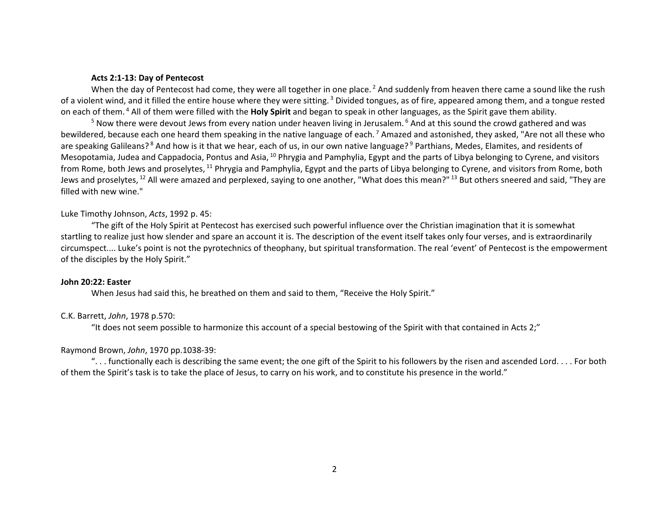#### **Acts 2:1-13: Day of Pentecost**

When the day of Pentecost had come, they were all together in one place.<sup>2</sup> And suddenly from heaven there came a sound like the rush of a violent wind, and it filled the entire house where they were sitting.<sup>3</sup> Divided tongues, as of fire, appeared among them, and a tongue rested on each of them. 4 All of them were filled with the **Holy Spirit** and began to speak in other languages, as the Spirit gave them ability.

<sup>5</sup> Now there were devout Jews from every nation under heaven living in Jerusalem. <sup>6</sup> And at this sound the crowd gathered and was bewildered, because each one heard them speaking in the native language of each.<sup>7</sup> Amazed and astonished, they asked, "Are not all these who are speaking Galileans?<sup>8</sup> And how is it that we hear, each of us, in our own native language?<sup>9</sup> Parthians, Medes, Elamites, and residents of Mesopotamia, Judea and Cappadocia, Pontus and Asia, <sup>10</sup> Phrygia and Pamphylia, Egypt and the parts of Libya belonging to Cyrene, and visitors from Rome, both Jews and proselytes, <sup>11</sup> Phrygia and Pamphylia, Egypt and the parts of Libya belonging to Cyrene, and visitors from Rome, both Jews and proselytes, <sup>12</sup> All were amazed and perplexed, saying to one another, "What does this mean?" <sup>13</sup> But others sneered and said, "They are filled with new wine."

#### Luke Timothy Johnson, *Acts*, 1992 p. 45:

"The gift of the Holy Spirit at Pentecost has exercised such powerful influence over the Christian imagination that it is somewhat startling to realize just how slender and spare an account it is. The description of the event itself takes only four verses, and is extraordinarily circumspect.... Luke's point is not the pyrotechnics of theophany, but spiritual transformation. The real 'event' of Pentecost is the empowerment of the disciples by the Holy Spirit."

#### **John 20:22: Easter**

When Jesus had said this, he breathed on them and said to them, "Receive the Holy Spirit."

#### C.K. Barrett, *John*, 1978 p.570:

"It does not seem possible to harmonize this account of a special bestowing of the Spirit with that contained in Acts 2;"

#### Raymond Brown, *John*, 1970 pp.1038-39:

"... functionally each is describing the same event; the one gift of the Spirit to his followers by the risen and ascended Lord.... For both of them the Spirit's task is to take the place of Jesus, to carry on his work, and to constitute his presence in the world."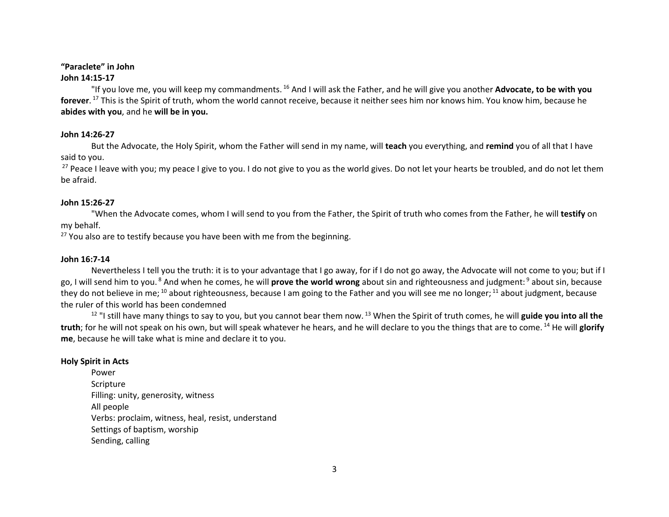### **"Paraclete" in John**

# **John 14:15-17**

"If you love me, you will keep my commandments. <sup>16</sup> And I will ask the Father, and he will give you another **Advocate, to be with you forever**. <sup>17</sup> This is the Spirit of truth, whom the world cannot receive, because it neither sees him nor knows him. You know him, because he **abides with you**, and he **will be in you.**

# **John 14:26-27**

But the Advocate, the Holy Spirit, whom the Father will send in my name, will **teach** you everything, and **remind** you of all that I have said to you.

<sup>27</sup> Peace I leave with you; my peace I give to you. I do not give to you as the world gives. Do not let your hearts be troubled, and do not let them be afraid.

# **John 15:26-27**

"When the Advocate comes, whom I will send to you from the Father, the Spirit of truth who comes from the Father, he will **testify** on my behalf.

 $27$  You also are to testify because you have been with me from the beginning.

# **John 16:7-14**

Nevertheless I tell you the truth: it is to your advantage that I go away, for if I do not go away, the Advocate will not come to you; but if I go, I will send him to you. 8 And when he comes, he will **prove the world wrong** about sin and righteousness and judgment: 9 about sin, because they do not believe in me;  $^{10}$  about righteousness, because I am going to the Father and you will see me no longer;  $^{11}$  about judgment, because the ruler of this world has been condemned

<sup>12</sup> "I still have many things to say to you, but you cannot bear them now. <sup>13</sup> When the Spirit of truth comes, he will guide you into all the **truth**; for he will not speak on his own, but will speak whatever he hears, and he will declare to you the things that are to come. <sup>14</sup> He will **glorify me**, because he will take what is mine and declare it to you.

# **Holy Spirit in Acts**

Power Scripture Filling: unity, generosity, witness All people Verbs: proclaim, witness, heal, resist, understand Settings of baptism, worship Sending, calling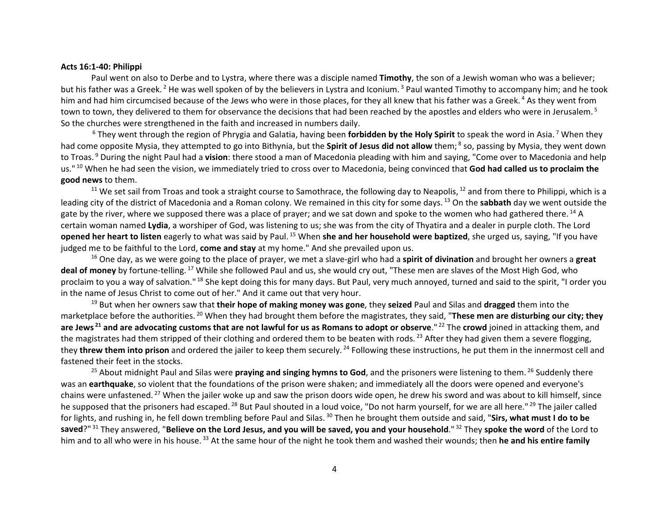#### **Acts 16:1-40: Philippi**

Paul went on also to Derbe and to Lystra, where there was a disciple named **Timothy**, the son of a Jewish woman who was a believer; but his father was a Greek.<sup>2</sup> He was well spoken of by the believers in Lystra and Iconium.<sup>3</sup> Paul wanted Timothy to accompany him; and he took him and had him circumcised because of the Jews who were in those places, for they all knew that his father was a Greek.<sup>4</sup> As they went from town to town, they delivered to them for observance the decisions that had been reached by the apostles and elders who were in Jerusalem.<sup>5</sup> So the churches were strengthened in the faith and increased in numbers daily.

<sup>6</sup> They went through the region of Phrygia and Galatia, having been **forbidden by the Holy Spirit** to speak the word in Asia. 7 When they had come opposite Mysia, they attempted to go into Bithynia, but the **Spirit of Jesus did not allow** them; 8 so, passing by Mysia, they went down to Troas. 9 During the night Paul had a **vision**: there stood a man of Macedonia pleading with him and saying, "Come over to Macedonia and help us." <sup>10</sup> When he had seen the vision, we immediately tried to cross over to Macedonia, being convinced that **God had called us to proclaim the good news** to them.

<sup>11</sup> We set sail from Troas and took a straight course to Samothrace, the following day to Neapolis, <sup>12</sup> and from there to Philippi, which is a leading city of the district of Macedonia and a Roman colony. We remained in this city for some days. <sup>13</sup> On the **sabbath** day we went outside the gate by the river, where we supposed there was a place of prayer; and we sat down and spoke to the women who had gathered there. <sup>14</sup> A certain woman named **Lydia**, a worshiper of God, was listening to us; she was from the city of Thyatira and a dealer in purple cloth. The Lord **opened her heart to listen** eagerly to what was said by Paul. <sup>15</sup> When **she and her household were baptized**, she urged us, saying, "If you have judged me to be faithful to the Lord, **come and stay** at my home." And she prevailed upon us.

16 One day, as we were going to the place of prayer, we met a slave-girl who had a **spirit of divination** and brought her owners a **great deal of money** by fortune-telling. <sup>17</sup> While she followed Paul and us, she would cry out, "These men are slaves of the Most High God, who proclaim to you a way of salvation."<sup>18</sup> She kept doing this for many days. But Paul, very much annoyed, turned and said to the spirit, "I order you in the name of Jesus Christ to come out of her." And it came out that very hour.

<sup>19</sup> But when her owners saw that **their hope of making money was gone**, they **seized** Paul and Silas and **dragged** them into the marketplace before the authorities. <sup>20</sup> When they had brought them before the magistrates, they said, "**These men are disturbing our city; they are Jews <sup>21</sup> and are advocating customs that are not lawful for us as Romans to adopt or observe**." <sup>22</sup> The **crowd** joined in attacking them, and the magistrates had them stripped of their clothing and ordered them to be beaten with rods.<sup>23</sup> After they had given them a severe flogging, they **threw them into prison** and ordered the jailer to keep them securely. <sup>24</sup> Following these instructions, he put them in the innermost cell and fastened their feet in the stocks.

<sup>25</sup> About midnight Paul and Silas were **praying and singing hymns to God**, and the prisoners were listening to them. <sup>26</sup> Suddenly there was an **earthquake**, so violent that the foundations of the prison were shaken; and immediately all the doors were opened and everyone's chains were unfastened. <sup>27</sup> When the jailer woke up and saw the prison doors wide open, he drew his sword and was about to kill himself, since he supposed that the prisoners had escaped. <sup>28</sup> But Paul shouted in a loud voice, "Do not harm yourself, for we are all here." <sup>29</sup> The jailer called for lights, and rushing in, he fell down trembling before Paul and Silas. <sup>30</sup> Then he brought them outside and said, "**Sirs, what must I do to be saved**?" <sup>31</sup> They answered, "**Believe on the Lord Jesus, and you will be saved, you and your household**." <sup>32</sup> They **spoke the word** of the Lord to him and to all who were in his house. <sup>33</sup> At the same hour of the night he took them and washed their wounds; then **he and his entire family**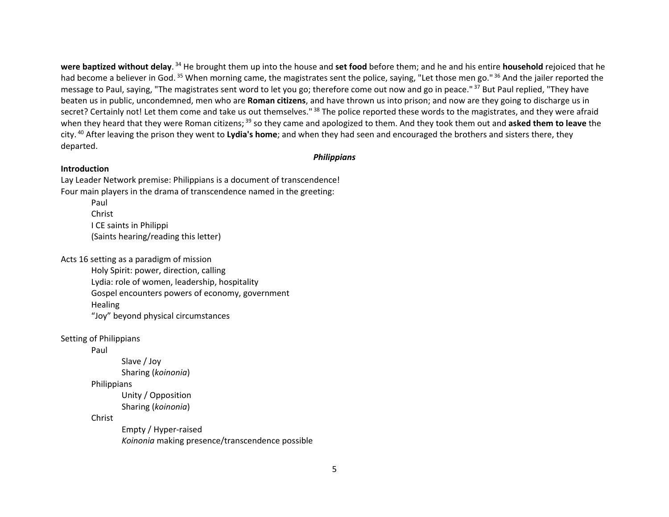**were baptized without delay**. <sup>34</sup> He brought them up into the house and **set food** before them; and he and his entire **household** rejoiced that he had become a believer in God.<sup>35</sup> When morning came, the magistrates sent the police, saying, "Let those men go."<sup>36</sup> And the jailer reported the message to Paul, saying, "The magistrates sent word to let you go; therefore come out now and go in peace."<sup>37</sup> But Paul replied, "They have beaten us in public, uncondemned, men who are **Roman citizens**, and have thrown us into prison; and now are they going to discharge us in secret? Certainly not! Let them come and take us out themselves."<sup>38</sup> The police reported these words to the magistrates, and they were afraid when they heard that they were Roman citizens;<sup>39</sup> so they came and apologized to them. And they took them out and asked them to leave the city. <sup>40</sup> After leaving the prison they went to **Lydia's home**; and when they had seen and encouraged the brothers and sisters there, they departed.

#### *Philippians*

#### **Introduction**

Lay Leader Network premise: Philippians is a document of transcendence! Four main players in the drama of transcendence named in the greeting: Paul Christ I CE saints in Philippi (Saints hearing/reading this letter)

Acts 16 setting as a paradigm of mission

Holy Spirit: power, direction, calling Lydia: role of women, leadership, hospitality Gospel encounters powers of economy, government Healing "Joy" beyond physical circumstances

# Setting of Philippians

Paul

 Slave / Joy Sharing (*koinonia*)

**Philippians** 

 Unity / Opposition Sharing (*koinonia*)

Christ

 Empty / Hyper-raised *Koinonia* making presence/transcendence possible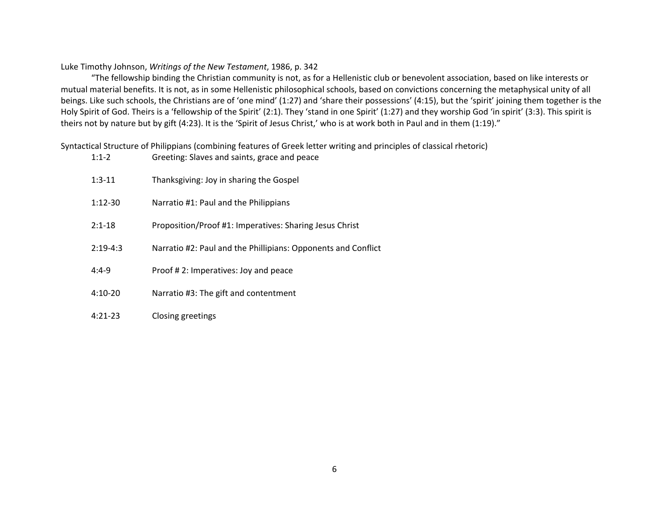# Luke Timothy Johnson, *Writings of the New Testament*, 1986, p. 342

"The fellowship binding the Christian community is not, as for a Hellenistic club or benevolent association, based on like interests or mutual material benefits. It is not, as in some Hellenistic philosophical schools, based on convictions concerning the metaphysical unity of all beings. Like such schools, the Christians are of 'one mind' (1:27) and 'share their possessions' (4:15), but the 'spirit' joining them together is the Holy Spirit of God. Theirs is a 'fellowship of the Spirit' (2:1). They 'stand in one Spirit' (1:27) and they worship God 'in spirit' (3:3). This spirit is theirs not by nature but by gift (4:23). It is the 'Spirit of Jesus Christ,' who is at work both in Paul and in them (1:19)."

Syntactical Structure of Philippians (combining features of Greek letter writing and principles of classical rhetoric)

| $1:1-2$    | Greeting: Slaves and saints, grace and peace                  |
|------------|---------------------------------------------------------------|
| $1:3-11$   | Thanksgiving: Joy in sharing the Gospel                       |
| $1:12-30$  | Narratio #1: Paul and the Philippians                         |
| $2:1 - 18$ | Proposition/Proof #1: Imperatives: Sharing Jesus Christ       |
| $2:19-4:3$ | Narratio #2: Paul and the Phillipians: Opponents and Conflict |
| $4:4-9$    | Proof #2: Imperatives: Joy and peace                          |
| $4:10-20$  | Narratio #3: The gift and contentment                         |
| $4:21-23$  | Closing greetings                                             |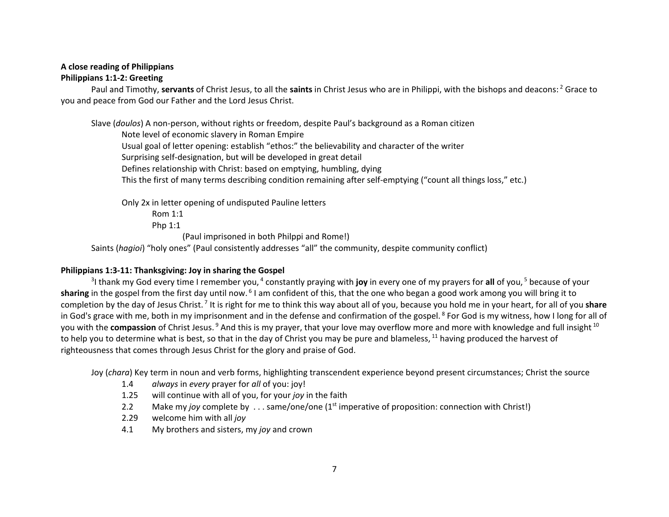# **A close reading of Philippians Philippians 1:1-2: Greeting**

Paul and Timothy, **servants** of Christ Jesus, to all the **saints** in Christ Jesus who are in Philippi, with the bishops and deacons: 2 Grace to you and peace from God our Father and the Lord Jesus Christ.

Slave (*doulos*) A non-person, without rights or freedom, despite Paul's background as a Roman citizen Note level of economic slavery in Roman Empire Usual goal of letter opening: establish "ethos:" the believability and character of the writer Surprising self-designation, but will be developed in great detail Defines relationship with Christ: based on emptying, humbling, dying This the first of many terms describing condition remaining after self-emptying ("count all things loss," etc.)

Only 2x in letter opening of undisputed Pauline letters

Rom 1:1

Php 1:1

(Paul imprisoned in both Philppi and Rome!)

Saints (*hagioi*) "holy ones" (Paul consistently addresses "all" the community, despite community conflict)

# **Philippians 1:3-11: Thanksgiving: Joy in sharing the Gospel**

<sup>3</sup>I thank my God every time I remember you, <sup>4</sup> constantly praying with **joy** in every one of my prayers for all of you, <sup>5</sup> because of your **sharing** in the gospel from the first day until now. 6 I am confident of this, that the one who began a good work among you will bring it to completion by the day of Jesus Christ. 7 It is right for me to think this way about all of you, because you hold me in your heart, for all of you **share** in God's grace with me, both in my imprisonment and in the defense and confirmation of the gospel.<sup>8</sup> For God is my witness, how I long for all of you with the **compassion** of Christ Jesus.<sup>9</sup> And this is my prayer, that your love may overflow more and more with knowledge and full insight <sup>10</sup> to help you to determine what is best, so that in the day of Christ you may be pure and blameless, <sup>11</sup> having produced the harvest of righteousness that comes through Jesus Christ for the glory and praise of God.

Joy (*chara*) Key term in noun and verb forms, highlighting transcendent experience beyond present circumstances; Christ the source

- 1.4 *always* in *every* prayer for *all* of you: joy!
- 1.25 will continue with all of you, for your *joy* in the faith
- 2.2 Make my *joy* complete by . . . same/one/one (1<sup>st</sup> imperative of proposition: connection with Christ!)
- 2.29 welcome him with all *joy*
- 4.1 My brothers and sisters, my *joy* and crown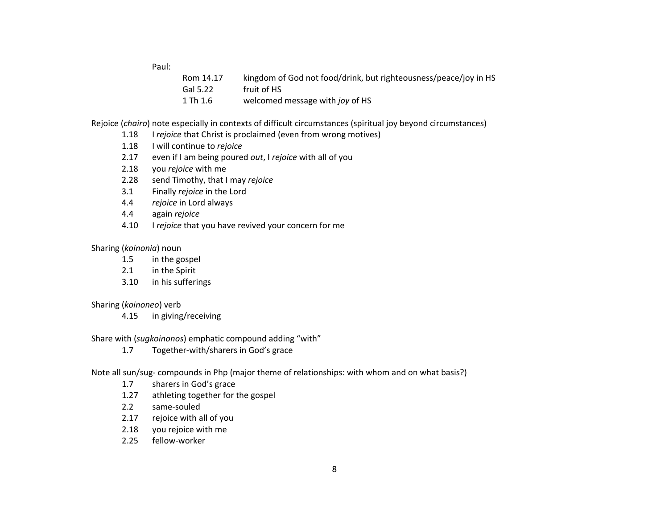Paul:

| Rom 14.17 | kingdom of God not food/drink, but righteousness/peace/joy in HS |
|-----------|------------------------------------------------------------------|
| Gal 5.22  | fruit of HS                                                      |
| 1 Th 1.6  | welcomed message with joy of HS                                  |

Rejoice (*chairo*) note especially in contexts of difficult circumstances (spiritual joy beyond circumstances)

- 1.18 I *rejoice* that Christ is proclaimed (even from wrong motives)
- 1.18 I will continue to *rejoice*
- 2.17 even if I am being poured *out*, I *rejoice* with all of you
- 2.18 you *rejoice* with me
- 2.28 send Timothy, that I may *rejoice*
- 3.1 Finally *rejoice* in the Lord
- 4.4 *rejoice* in Lord always
- 4.4 again *rejoice*
- 4.10 I *rejoice* that you have revived your concern for me

# Sharing (*koinonia*) noun

- 1.5 in the gospel
- 2.1 in the Spirit
- 3.10 in his sufferings

# Sharing (*koinoneo*) verb

4.15 in giving/receiving

Share with (*sugkoinonos*) emphatic compound adding "with"

1.7 Together-with/sharers in God's grace

Note all sun/sug- compounds in Php (major theme of relationships: with whom and on what basis?)

- 1.7 sharers in God's grace
- 1.27 athleting together for the gospel
- 2.2 same-souled
- 2.17 rejoice with all of you
- 2.18 you rejoice with me
- 2.25 fellow-worker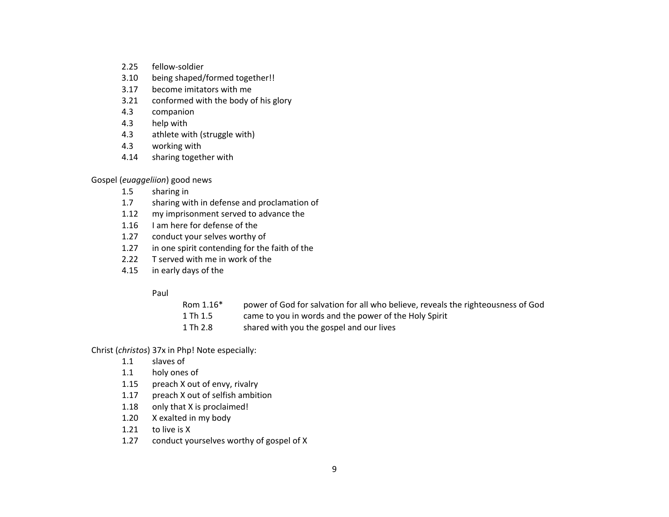- 2.25 fellow-soldier
- 3.10 being shaped/formed together!!
- 3.17 become imitators with me
- 3.21 conformed with the body of his glory
- 4.3 companion
- 4.3 help with
- 4.3 athlete with (struggle with)
- 4.3 working with
- 4.14 sharing together with

Gospel (*euaggeliion*) good news

- 1.5 sharing in
- 1.7 sharing with in defense and proclamation of
- 1.12 my imprisonment served to advance the
- 1.16 I am here for defense of the
- 1.27 conduct your selves worthy of
- 1.27 in one spirit contending for the faith of the
- 2.22 T served with me in work of the
- 4.15 in early days of the

#### Paul

- Rom 1.16\* power of God for salvation for all who believe, reveals the righteousness of God
- 1 Th 1.5 came to you in words and the power of the Holy Spirit
- 1 Th 2.8 shared with you the gospel and our lives

Christ (*christos*) 37x in Php! Note especially:

- 1.1 slaves of
- 1.1 holy ones of
- 1.15 preach X out of envy, rivalry
- 1.17 preach X out of selfish ambition
- 1.18 only that X is proclaimed!
- 1.20 X exalted in my body
- 1.21 to live is X
- 1.27 conduct yourselves worthy of gospel of X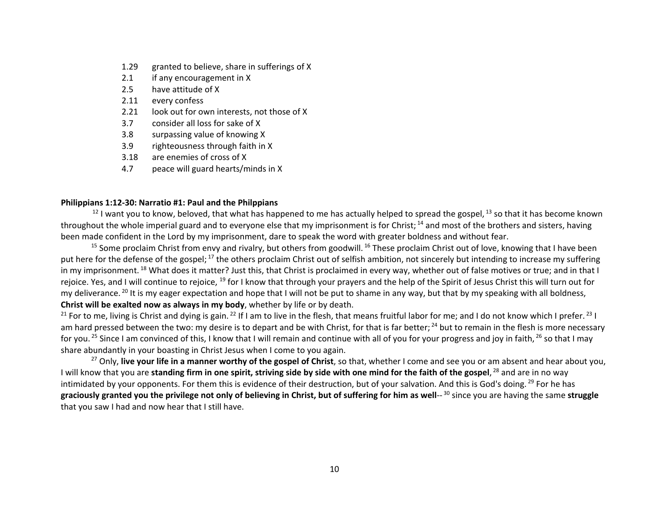- 1.29 granted to believe, share in sufferings of X
- 2.1 if any encouragement in X
- 2.5 have attitude of X
- 2.11 every confess
- 2.21 look out for own interests, not those of X
- 3.7 consider all loss for sake of X
- 3.8 surpassing value of knowing X
- 3.9 righteousness through faith in X
- 3.18 are enemies of cross of X
- 4.7 peace will guard hearts/minds in X

### **Philippians 1:12-30: Narratio #1: Paul and the Philppians**

 $12$  I want you to know, beloved, that what has happened to me has actually helped to spread the gospel,  $13$  so that it has become known throughout the whole imperial guard and to everyone else that my imprisonment is for Christ; <sup>14</sup> and most of the brothers and sisters, having been made confident in the Lord by my imprisonment, dare to speak the word with greater boldness and without fear.

 $15$  Some proclaim Christ from envy and rivalry, but others from goodwill.  $16$  These proclaim Christ out of love, knowing that I have been put here for the defense of the gospel; <sup>17</sup> the others proclaim Christ out of selfish ambition, not sincerely but intending to increase my suffering in my imprisonment. <sup>18</sup> What does it matter? Just this, that Christ is proclaimed in every way, whether out of false motives or true; and in that I rejoice. Yes, and I will continue to rejoice, <sup>19</sup> for I know that through your prayers and the help of the Spirit of Jesus Christ this will turn out for my deliverance.<sup>20</sup> It is my eager expectation and hope that I will not be put to shame in any way, but that by my speaking with all boldness, **Christ will be exalted now as always in my body**, whether by life or by death.

<sup>21</sup> For to me, living is Christ and dying is gain.<sup>22</sup> If I am to live in the flesh, that means fruitful labor for me; and I do not know which I prefer.<sup>23</sup> I am hard pressed between the two: my desire is to depart and be with Christ, for that is far better: <sup>24</sup> but to remain in the flesh is more necessary for you.<sup>25</sup> Since I am convinced of this, I know that I will remain and continue with all of you for your progress and joy in faith, <sup>26</sup> so that I may share abundantly in your boasting in Christ Jesus when I come to you again.

<sup>27</sup> Only, **live your life in a manner worthy of the gospel of Christ**, so that, whether I come and see you or am absent and hear about you, I will know that you are **standing firm in one spirit, striving side by side with one mind for the faith of the gospel**, <sup>28</sup> and are in no way intimidated by your opponents. For them this is evidence of their destruction, but of your salvation. And this is God's doing. <sup>29</sup> For he has **graciously granted you the privilege not only of believing in Christ, but of suffering for him as well**-- <sup>30</sup> since you are having the same **struggle** that you saw I had and now hear that I still have.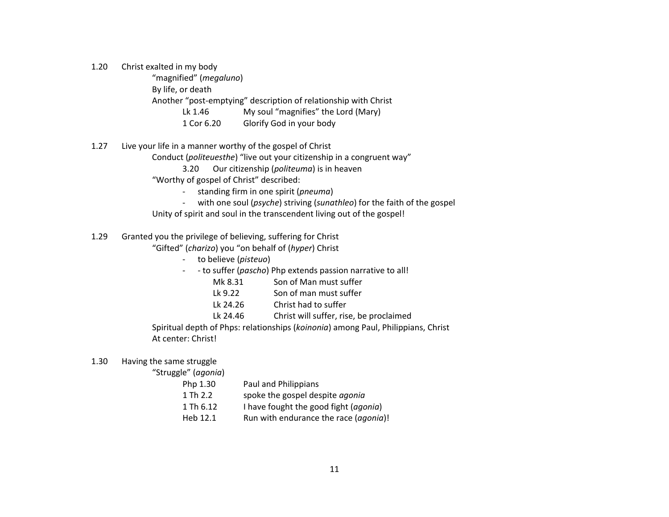1.20 Christ exalted in my body

 "magnified" (*megaluno*) By life, or death Another "post-emptying" description of relationship with Christ Lk 1.46 My soul "magnifies" the Lord (Mary) 1 Cor 6.20 Glorify God in your body

- 1.27 Live your life in a manner worthy of the gospel of Christ
	- Conduct (*politeuesthe*) "live out your citizenship in a congruent way"
		- 3.20 Our citizenship (*politeuma*) is in heaven
	- "Worthy of gospel of Christ" described:
		- standing firm in one spirit (*pneuma*)
		- with one soul (*psyche*) striving (*sunathleo*) for the faith of the gospel
	- Unity of spirit and soul in the transcendent living out of the gospel!
- 1.29 Granted you the privilege of believing, suffering for Christ

"Gifted" (*charizo*) you "on behalf of (*hyper*) Christ

- to believe (*pisteuo*)
- - to suffer (*pascho*) Php extends passion narrative to all!
	- Mk 8.31 Son of Man must suffer
	- Lk 9.22 Son of man must suffer
	- Lk 24.26 Christ had to suffer
	- Lk 24.46 Christ will suffer, rise, be proclaimed

 Spiritual depth of Phps: relationships (*koinonia*) among Paul, Philippians, Christ At center: Christ!

#### 1.30 Having the same struggle

"Struggle" (*agonia*)

| Php 1.30  | Paul and Philippians                           |
|-----------|------------------------------------------------|
| 1 Th 2.2  | spoke the gospel despite <i>agonia</i>         |
| 1 Th 6.12 | I have fought the good fight ( <i>agonia</i> ) |
| Heb 12.1  | Run with endurance the race (agonia)!          |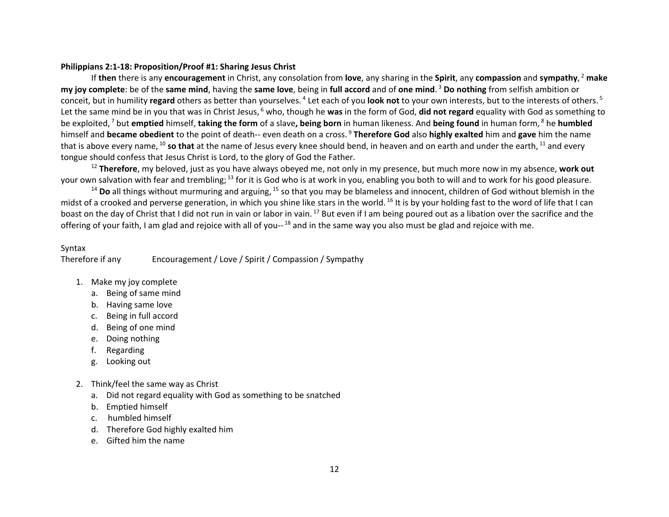# **Philippians 2:1-18: Proposition/Proof #1: Sharing Jesus Christ**

If **then** there is any **encouragement** in Christ, any consolation from **love**, any sharing in the **Spirit**, any **compassion** and **sympathy**, <sup>2</sup> **make my joy complete**: be of the **same mind**, having the **same love**, being in **full accord** and of **one mind**. <sup>3</sup> **Do nothing** from selfish ambition or conceit, but in humility **regard** others as better than yourselves. 4 Let each of you **look not** to your own interests, but to the interests of others. 5 Let the same mind be in you that was in Christ Jesus, <sup>6</sup> who, though he was in the form of God, did not regard equality with God as something to be exploited, 7 but **emptied** himself, **taking the form** of a slave**, being born** in human likeness. And **being found** in human form, 8 he **humbled** himself and **became obedient** to the point of death-- even death on a cross. 9 **Therefore God** also **highly exalted** him and **gave** him the name that is above every name, <sup>10</sup> so that at the name of Jesus every knee should bend, in heaven and on earth and under the earth, <sup>11</sup> and every tongue should confess that Jesus Christ is Lord, to the glory of God the Father.

<sup>12</sup> **Therefore**, my beloved, just as you have always obeyed me, not only in my presence, but much more now in my absence, **work out** your own salvation with fear and trembling; <sup>13</sup> for it is God who is at work in you, enabling you both to will and to work for his good pleasure.

<sup>14</sup> Do all things without murmuring and arguing, <sup>15</sup> so that you may be blameless and innocent, children of God without blemish in the midst of a crooked and perverse generation, in which you shine like stars in the world.<sup>16</sup> It is by your holding fast to the word of life that I can boast on the day of Christ that I did not run in vain or labor in vain.<sup>17</sup> But even if I am being poured out as a libation over the sacrifice and the offering of your faith, I am glad and rejoice with all of you-- <sup>18</sup> and in the same way you also must be glad and rejoice with me.

#### Syntax

Therefore if any Encouragement / Love / Spirit / Compassion / Sympathy

- 1. Make my joy complete
	- a. Being of same mind
	- b. Having same love
	- c. Being in full accord
	- d. Being of one mind
	- e. Doing nothing
	- f. Regarding
	- g. Looking out
- 2. Think/feel the same way as Christ
	- a. Did not regard equality with God as something to be snatched
	- b. Emptied himself
	- c. humbled himself
	- d. Therefore God highly exalted him
	- e. Gifted him the name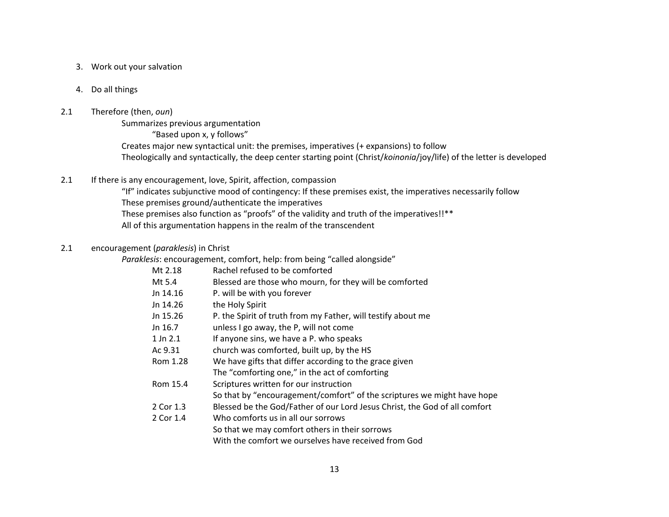- 3. Work out your salvation
- 4. Do all things

# 2.1 Therefore (then, *oun*)

Summarizes previous argumentation "Based upon x, y follows" Creates major new syntactical unit: the premises, imperatives (+ expansions) to follow Theologically and syntactically, the deep center starting point (Christ/*koinonia*/joy/life) of the letter is developed

2.1 If there is any encouragement, love, Spirit, affection, compassion

 "If" indicates subjunctive mood of contingency: If these premises exist, the imperatives necessarily follow These premises ground/authenticate the imperatives These premises also function as "proofs" of the validity and truth of the imperatives!!\*\* All of this argumentation happens in the realm of the transcendent

# 2.1 encouragement (*paraklesis*) in Christ

*Paraklesis*: encouragement, comfort, help: from being "called alongside"

| Mt 2.18      | Rachel refused to be comforted                                             |
|--------------|----------------------------------------------------------------------------|
| Mt 5.4       | Blessed are those who mourn, for they will be comforted                    |
| Jn 14.16     | P. will be with you forever                                                |
| Jn 14.26     | the Holy Spirit                                                            |
| Jn 15.26     | P. the Spirit of truth from my Father, will testify about me               |
| Jn 16.7      | unless I go away, the P, will not come                                     |
| $1$ Jn $2.1$ | If anyone sins, we have a P. who speaks                                    |
| Ac 9.31      | church was comforted, built up, by the HS                                  |
| Rom 1.28     | We have gifts that differ according to the grace given                     |
|              | The "comforting one," in the act of comforting                             |
| Rom 15.4     | Scriptures written for our instruction                                     |
|              | So that by "encouragement/comfort" of the scriptures we might have hope    |
| 2 Cor 1.3    | Blessed be the God/Father of our Lord Jesus Christ, the God of all comfort |
| 2 Cor 1.4    | Who comforts us in all our sorrows                                         |
|              | So that we may comfort others in their sorrows                             |
|              | With the comfort we ourselves have received from God                       |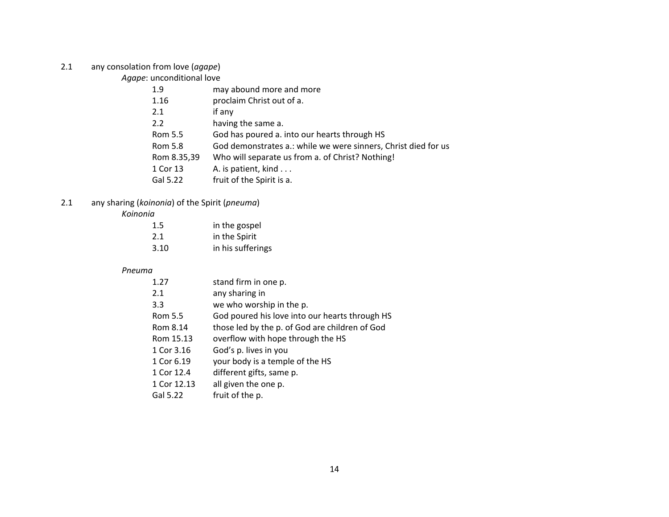2.1 any consolation from love (*agape*)

*Agape*: unconditional love

| 1.9         | may abound more and more                                       |
|-------------|----------------------------------------------------------------|
| 1.16        | proclaim Christ out of a.                                      |
| 2.1         | if any                                                         |
| 2.2         | having the same a.                                             |
| Rom 5.5     | God has poured a. into our hearts through HS                   |
| Rom 5.8     | God demonstrates a.: while we were sinners, Christ died for us |
| Rom 8.35,39 | Who will separate us from a. of Christ? Nothing!               |
| 1 Cor 13    | A. is patient, kind                                            |
| Gal 5.22    | fruit of the Spirit is a.                                      |

# 2.1 any sharing (*koinonia*) of the Spirit (*pneuma*)

*Koinonia* 

| 1.5  | in the gospel     |  |
|------|-------------------|--|
| 2.1  | in the Spirit     |  |
| 3.10 | in his sufferings |  |

# *Pneuma*

| 1.27        | stand firm in one p.                           |
|-------------|------------------------------------------------|
| 2.1         | any sharing in                                 |
| 3.3         | we who worship in the p.                       |
| Rom 5.5     | God poured his love into our hearts through HS |
| Rom 8.14    | those led by the p. of God are children of God |
| Rom 15.13   | overflow with hope through the HS              |
| 1 Cor 3.16  | God's p. lives in you                          |
| 1 Cor 6.19  | your body is a temple of the HS                |
| 1 Cor 12.4  | different gifts, same p.                       |
| 1 Cor 12.13 | all given the one p.                           |
| Gal 5.22    | fruit of the p.                                |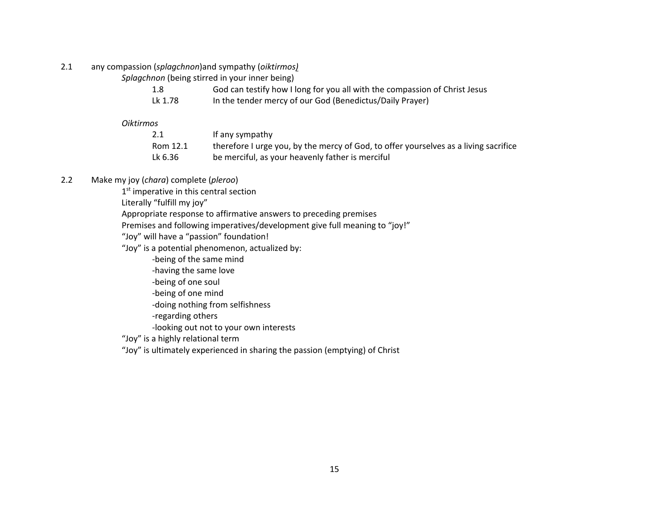2.1 any compassion (*splagchnon*)and sympathy (*oiktirmos)*

*Splagchnon* (being stirred in your inner being)

|  | God can testify how I long for you all with the compassion of Christ Jesus |                                    |  |   |  |  |
|--|----------------------------------------------------------------------------|------------------------------------|--|---|--|--|
|  |                                                                            | $\sim$ $\sim$ $\sim$ $\sim$ $\sim$ |  | . |  |  |

Lk 1.78 In the tender mercy of our God (Benedictus/Daily Prayer)

*Oiktirmos*

| Rom 12.1 | If any sympathy<br>therefore I urge you, by the mercy of God, to offer yourselves as a living sacrifice |
|----------|---------------------------------------------------------------------------------------------------------|
| Lk 6.36  | be merciful, as your heavenly father is merciful                                                        |

# 2.2 Make my joy (*chara*) complete (*pleroo*)

1<sup>st</sup> imperative in this central section

Literally "fulfill my joy"

Appropriate response to affirmative answers to preceding premises

Premises and following imperatives/development give full meaning to "joy!"

"Joy" will have a "passion" foundation!

"Joy" is a potential phenomenon, actualized by:

-being of the same mind

-having the same love

-being of one soul

-being of one mind

-doing nothing from selfishness

-regarding others

-looking out not to your own interests

"Joy" is a highly relational term

"Joy" is ultimately experienced in sharing the passion (emptying) of Christ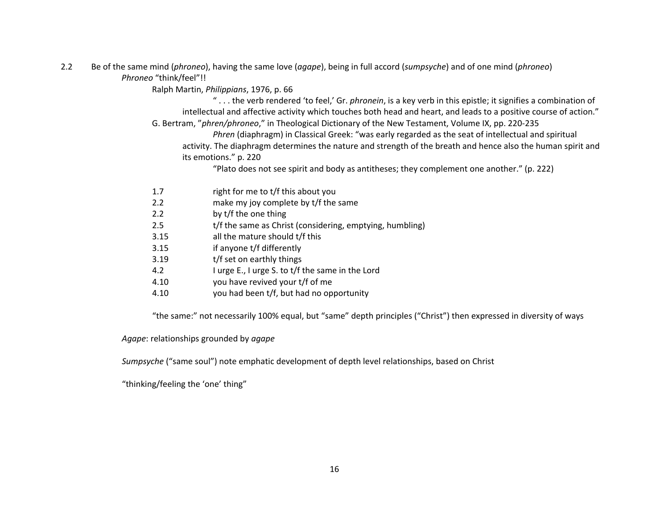2.2 Be of the same mind (*phroneo*), having the same love (*agape*), being in full accord (*sumpsyche*) and of one mind (*phroneo*) *Phroneo* "think/feel"!!

Ralph Martin, *Philippians*, 1976, p. 66

 " . . . the verb rendered 'to feel,' Gr. *phronein*, is a key verb in this epistle; it signifies a combination of intellectual and affective activity which touches both head and heart, and leads to a positive course of action." G. Bertram, "*phren/phroneo*," in Theological Dictionary of the New Testament, Volume IX, pp. 220-235

 *Phren* (diaphragm) in Classical Greek: "was early regarded as the seat of intellectual and spiritual activity. The diaphragm determines the nature and strength of the breath and hence also the human spirit and its emotions." p. 220

"Plato does not see spirit and body as antitheses; they complement one another." (p. 222)

- 1.7 right for me to t/f this about you
- 2.2 make my joy complete by t/f the same
- 2.2 by t/f the one thing
- 2.5 t/f the same as Christ (considering, emptying, humbling)
- 3.15 all the mature should t/f this
- 3.15 if anyone t/f differently
- 3.19 t/f set on earthly things
- 4.2 I urge E., I urge S. to t/f the same in the Lord
- 4.10 you have revived your t/f of me
- 4.10 you had been t/f, but had no opportunity

"the same:" not necessarily 100% equal, but "same" depth principles ("Christ") then expressed in diversity of ways

*Agape*: relationships grounded by *agape* 

 *Sumpsyche* ("same soul") note emphatic development of depth level relationships, based on Christ

"thinking/feeling the 'one' thing"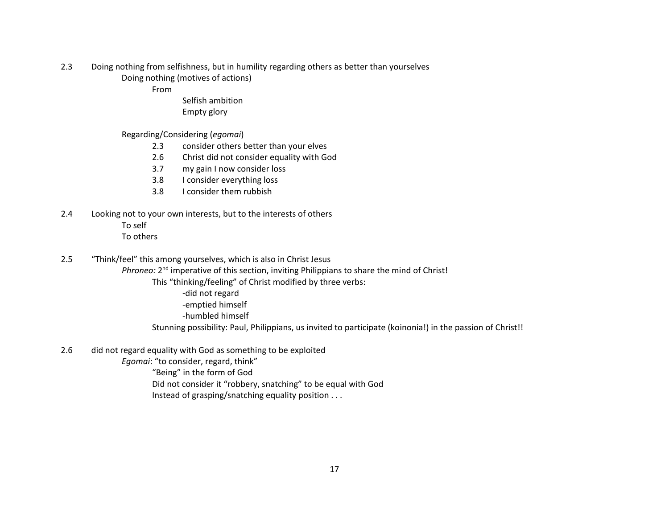- 2.3 Doing nothing from selfishness, but in humility regarding others as better than yourselves Doing nothing (motives of actions)
	- From

 Selfish ambition Empty glory

- Regarding/Considering (*egomai*)
	- 2.3 consider others better than your elves
	- 2.6 Christ did not consider equality with God
	- 3.7 my gain I now consider loss
	- 3.8 I consider everything loss
	- 3.8 I consider them rubbish
- 2.4 Looking not to your own interests, but to the interests of others To self To others
- 2.5 "Think/feel" this among yourselves, which is also in Christ Jesus
	- *Phroneo:* 2<sup>nd</sup> imperative of this section, inviting Philippians to share the mind of Christ!
		- This "thinking/feeling" of Christ modified by three verbs:
			- -did not regard
			- -emptied himself
			- -humbled himself
		- Stunning possibility: Paul, Philippians, us invited to participate (koinonia!) in the passion of Christ!!
- 2.6 did not regard equality with God as something to be exploited
	- *Egomai*: "to consider, regard, think"
		- "Being" in the form of God
		- Did not consider it "robbery, snatching" to be equal with God
		- Instead of grasping/snatching equality position . . .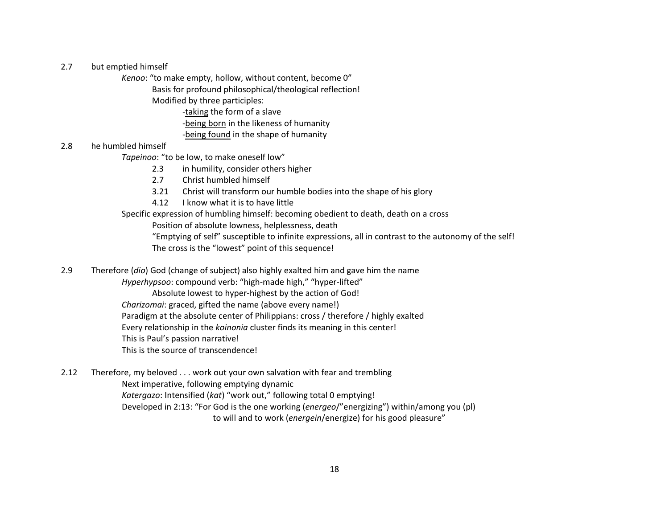### 2.7 but emptied himself

*Kenoo*: "to make empty, hollow, without content, become 0"

Basis for profound philosophical/theological reflection!

Modified by three participles:

-taking the form of a slave

-being born in the likeness of humanity

-being found in the shape of humanity

# 2.8 he humbled himself

*Tapeinoo*: "to be low, to make oneself low"

2.3 in humility, consider others higher

- 2.7 Christ humbled himself
- 3.21 Christ will transform our humble bodies into the shape of his glory
- 4.12 I know what it is to have little

Specific expression of humbling himself: becoming obedient to death, death on a cross

Position of absolute lowness, helplessness, death

 "Emptying of self" susceptible to infinite expressions, all in contrast to the autonomy of the self! The cross is the "lowest" point of this sequence!

2.9 Therefore (*dio*) God (change of subject) also highly exalted him and gave him the name

*Hyperhypsoo*: compound verb: "high-made high," "hyper-lifted"

Absolute lowest to hyper-highest by the action of God!

*Charizomai*: graced, gifted the name (above every name!)

Paradigm at the absolute center of Philippians: cross / therefore / highly exalted

Every relationship in the *koinonia* cluster finds its meaning in this center!

This is Paul's passion narrative!

This is the source of transcendence!

2.12 Therefore, my beloved . . . work out your own salvation with fear and trembling Next imperative, following emptying dynamic *Katergazo*: Intensified (*kat*) "work out," following total 0 emptying! Developed in 2:13: "For God is the one working (*energeo*/"energizing") within/among you (pl) to will and to work (*energein*/energize) for his good pleasure"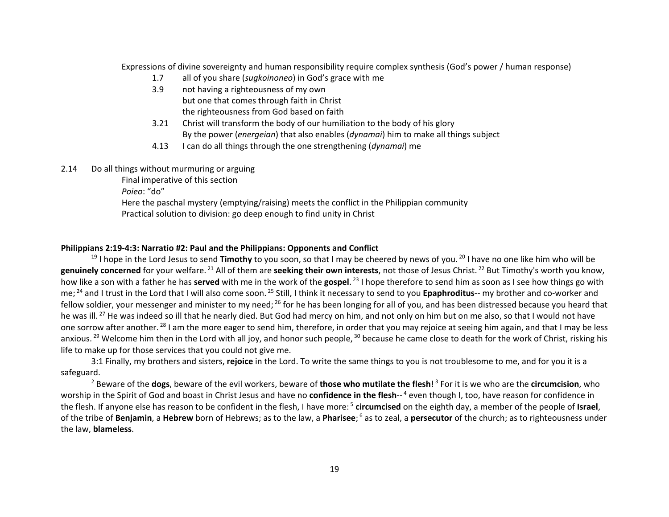Expressions of divine sovereignty and human responsibility require complex synthesis (God's power / human response)

- 1.7 all of you share (*sugkoinoneo*) in God's grace with me
- 3.9 not having a righteousness of my own but one that comes through faith in Christ the righteousness from God based on faith
- 3.21 Christ will transform the body of our humiliation to the body of his glory By the power (*energeian*) that also enables (*dynamai*) him to make all things subject
- 4.13 I can do all things through the one strengthening (*dynamai*) me
- 2.14 Do all things without murmuring or arguing

 Final imperative of this section *Poieo*: "do" Here the paschal mystery (emptying/raising) meets the conflict in the Philippian community Practical solution to division: go deep enough to find unity in Christ

# **Philippians 2:19-4:3: Narratio #2: Paul and the Philippians: Opponents and Conflict**

<sup>19</sup> I hope in the Lord Jesus to send **Timothy** to you soon, so that I may be cheered by news of you.<sup>20</sup> I have no one like him who will be **genuinely concerned** for your welfare. <sup>21</sup> All of them are **seeking their own interests**, not those of Jesus Christ. <sup>22</sup> But Timothy's worth you know, how like a son with a father he has **served** with me in the work of the **gospel**. <sup>23</sup> I hope therefore to send him as soon as I see how things go with me; <sup>24</sup> and I trust in the Lord that I will also come soon. <sup>25</sup> Still, I think it necessary to send to you **Epaphroditus**-- my brother and co-worker and fellow soldier, your messenger and minister to my need; <sup>26</sup> for he has been longing for all of you, and has been distressed because you heard that he was ill.<sup>27</sup> He was indeed so ill that he nearly died. But God had mercy on him, and not only on him but on me also, so that I would not have one sorrow after another.<sup>28</sup> I am the more eager to send him, therefore, in order that you may rejoice at seeing him again, and that I may be less anxious.<sup>29</sup> Welcome him then in the Lord with all joy, and honor such people, <sup>30</sup> because he came close to death for the work of Christ, risking his life to make up for those services that you could not give me.

3:1 Finally, my brothers and sisters, **rejoice** in the Lord. To write the same things to you is not troublesome to me, and for you it is a safeguard.

<sup>2</sup> Beware of the **dogs**, beware of the evil workers, beware of **those who mutilate the flesh**! <sup>3</sup> For it is we who are the **circumcision**, who worship in the Spirit of God and boast in Christ Jesus and have no **confidence in the flesh**-- 4 even though I, too, have reason for confidence in the flesh. If anyone else has reason to be confident in the flesh, I have more: 5 **circumcised** on the eighth day, a member of the people of **Israel**, of the tribe of **Benjamin**, a **Hebrew** born of Hebrews; as to the law, a **Pharisee**; <sup>6</sup> as to zeal, a **persecutor** of the church; as to righteousness under the law, **blameless**.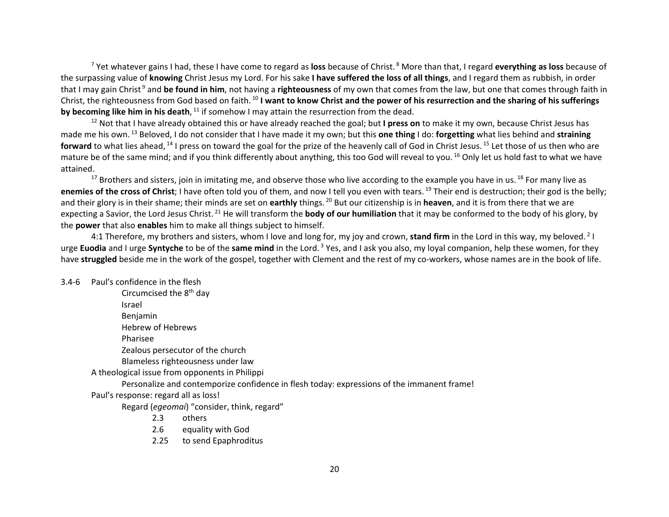<sup>7</sup> Yet whatever gains I had, these I have come to regard as **loss** because of Christ. 8 More than that, I regard **everything as loss** because of the surpassing value of **knowing** Christ Jesus my Lord. For his sake **I have suffered the loss of all things**, and I regard them as rubbish, in order that I may gain Christ<sup>9</sup> and be found in him, not having a righteousness of my own that comes from the law, but one that comes through faith in Christ, the righteousness from God based on faith. <sup>10</sup> **I want to know Christ and the power of his resurrection and the sharing of his sufferings by becoming like him in his death**, <sup>11</sup> if somehow I may attain the resurrection from the dead.

<sup>12</sup> Not that I have already obtained this or have already reached the goal; but **I press on** to make it my own, because Christ Jesus has made me his own. <sup>13</sup> Beloved, I do not consider that I have made it my own; but this **one thing** I do: **forgetting** what lies behind and **straining**  forward to what lies ahead, <sup>14</sup> I press on toward the goal for the prize of the heavenly call of God in Christ Jesus. <sup>15</sup> Let those of us then who are mature be of the same mind; and if you think differently about anything, this too God will reveal to you. <sup>16</sup> Only let us hold fast to what we have attained.

<sup>17</sup> Brothers and sisters, join in imitating me, and observe those who live according to the example you have in us. <sup>18</sup> For many live as **enemies of the cross of Christ**; I have often told you of them, and now I tell you even with tears. <sup>19</sup> Their end is destruction; their god is the belly; and their glory is in their shame; their minds are set on **earthly** things. <sup>20</sup> But our citizenship is in **heaven**, and it is from there that we are expecting a Savior, the Lord Jesus Christ. <sup>21</sup> He will transform the **body of our humiliation** that it may be conformed to the body of his glory, by the **power** that also **enables** him to make all things subject to himself.

4:1 Therefore, my brothers and sisters, whom I love and long for, my joy and crown, **stand firm** in the Lord in this way, my beloved. 2 I urge **Euodia** and I urge **Syntyche** to be of the **same mind** in the Lord. 3 Yes, and I ask you also, my loyal companion, help these women, for they have **struggled** beside me in the work of the gospel, together with Clement and the rest of my co-workers, whose names are in the book of life.

#### 3.4-6 Paul's confidence in the flesh

Circumcised the 8<sup>th</sup> day Israel Benjamin Hebrew of Hebrews Pharisee Zealous persecutor of the church Blameless righteousness under law A theological issue from opponents in Philippi Personalize and contemporize confidence in flesh today: expressions of the immanent frame! Paul's response: regard all as loss! Regard (*egeomai*) "consider, think, regard" 2.3 others

- 2.6 equality with God
- 2.25 to send Epaphroditus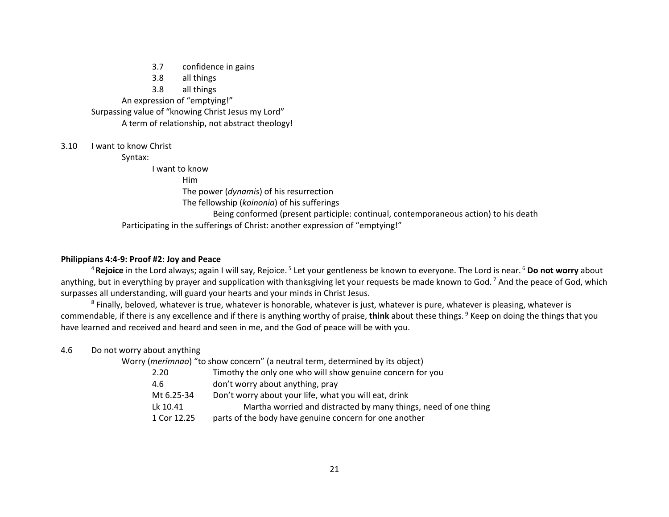- 3.7 confidence in gains
- 3.8 all things

3.8 all things

 An expression of "emptying!" Surpassing value of "knowing Christ Jesus my Lord" A term of relationship, not abstract theology!

### 3.10 I want to know Christ

Syntax:

I want to know

Him

The power (*dynamis*) of his resurrection

The fellowship (*koinonia*) of his sufferings

 Being conformed (present participle: continual, contemporaneous action) to his death Participating in the sufferings of Christ: another expression of "emptying!"

### **Philippians 4:4-9: Proof #2: Joy and Peace**

<sup>4</sup>**Rejoice** in the Lord always; again I will say, Rejoice. 5 Let your gentleness be known to everyone. The Lord is near. 6 **Do not worry** about anything, but in everything by prayer and supplication with thanksgiving let your requests be made known to God.<sup>7</sup> And the peace of God, which surpasses all understanding, will guard your hearts and your minds in Christ Jesus.

<sup>8</sup> Finally, beloved, whatever is true, whatever is honorable, whatever is just, whatever is pure, whatever is pleasing, whatever is commendable, if there is any excellence and if there is anything worthy of praise, **think** about these things. 9 Keep on doing the things that you have learned and received and heard and seen in me, and the God of peace will be with you.

4.6 Do not worry about anything

Worry (*merimnao*) "to show concern" (a neutral term, determined by its object)

- 2.20 Timothy the only one who will show genuine concern for you
- 4.6 don't worry about anything, pray
- Mt 6.25-34 Don't worry about your life, what you will eat, drink

Lk 10.41 Martha worried and distracted by many things, need of one thing

1 Cor 12.25 parts of the body have genuine concern for one another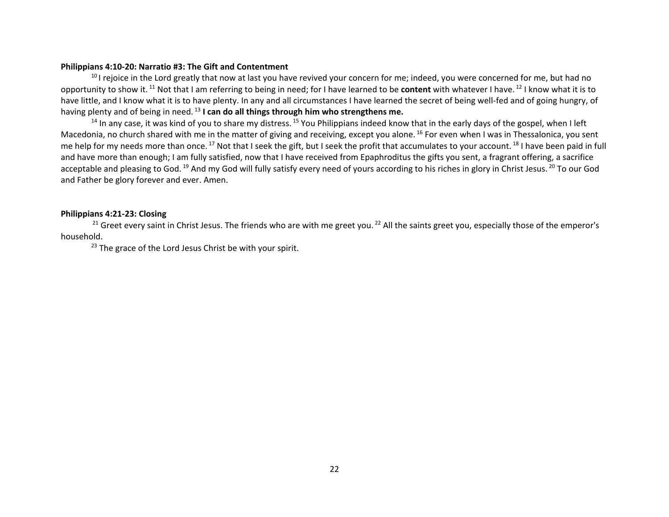#### **Philippians 4:10-20: Narratio #3: The Gift and Contentment**

<sup>10</sup> I rejoice in the Lord greatly that now at last you have revived your concern for me; indeed, you were concerned for me, but had no opportunity to show it. <sup>11</sup> Not that I am referring to being in need; for I have learned to be **content** with whatever I have. 12 I know what it is to have little, and I know what it is to have plenty. In any and all circumstances I have learned the secret of being well-fed and of going hungry, of having plenty and of being in need. <sup>13</sup> **I can do all things through him who strengthens me.** 

 $14$  In any case, it was kind of you to share my distress.  $15$  You Philippians indeed know that in the early days of the gospel, when I left Macedonia, no church shared with me in the matter of giving and receiving, except you alone. <sup>16</sup> For even when I was in Thessalonica, you sent me help for my needs more than once. <sup>17</sup> Not that I seek the gift, but I seek the profit that accumulates to your account. <sup>18</sup> I have been paid in full and have more than enough; I am fully satisfied, now that I have received from Epaphroditus the gifts you sent, a fragrant offering, a sacrifice acceptable and pleasing to God. <sup>19</sup> And my God will fully satisfy every need of yours according to his riches in glory in Christ Jesus. <sup>20</sup> To our God and Father be glory forever and ever. Amen.

#### **Philippians 4:21-23: Closing**

<sup>21</sup> Greet every saint in Christ Jesus. The friends who are with me greet you.<sup>22</sup> All the saints greet you, especially those of the emperor's household.

 $23$  The grace of the Lord Jesus Christ be with your spirit.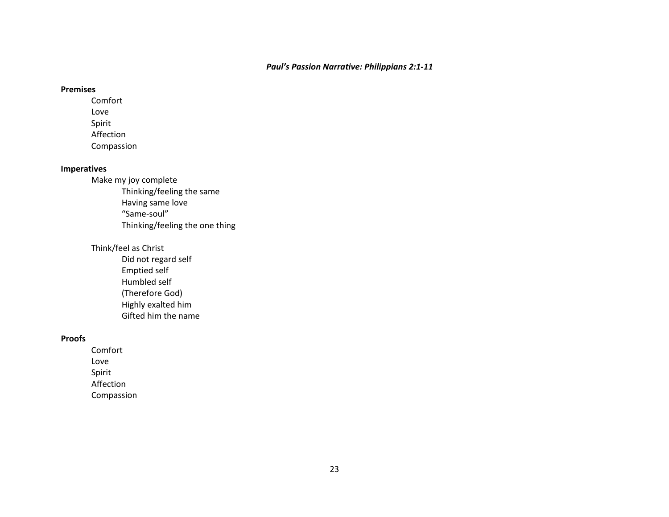### **Premises**

Comfort Love Spirit Affection Compassion

# **Imperatives**

Make my joy complete Thinking/feeling the same Having same love "Same-soul" Thinking/feeling the one thing

# Think/feel as Christ

 Did not regard self Emptied self Humbled self (Therefore God) Highly exalted him Gifted him the name

# **Proofs**

Comfort Love Spirit Affection Compassion